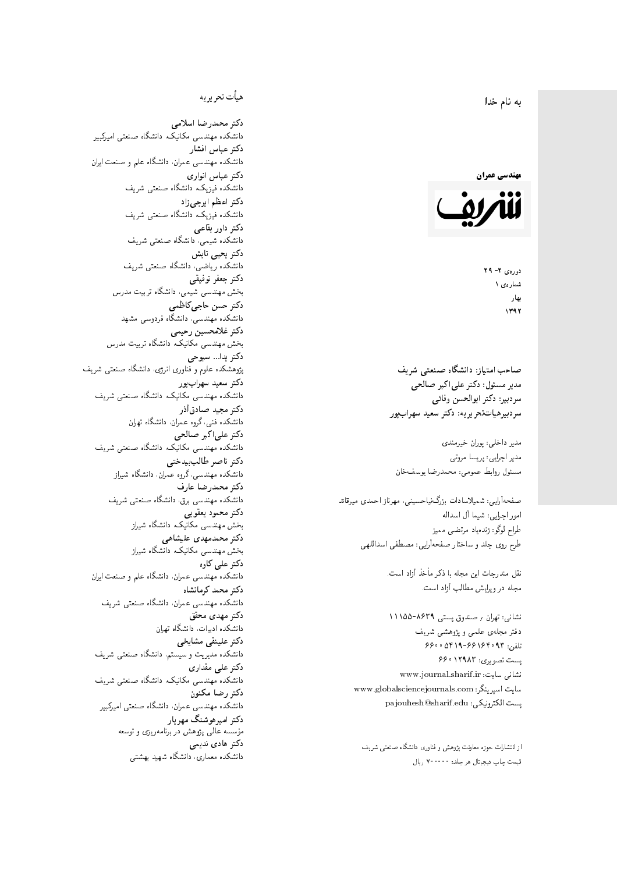#### $\overline{\phantom{a}}$ ز<br>ن به نام خدا .<br>.



دورەي ٢- ٢٩ شمارەي ۱ بهار  $1797$ 

صاحب امتیاز: دانشگاه صنعتی شریف  $\mathfrak{c}$ مدیر مسئول: دکتر علیاکبر صالحی  $\mathfrak{c}$ سردبير: دكتر ابوالحسن وفائي سردبیرهیاتتحر یر یه : دکتر سعید سهرابپور

مدیر داخلی: پوران خیرمندی مدير اجرايي: پريسا مروتي مسئول روابط عمومي: محمدرضا يوسفخان

صفحهأرايبي: شميلاسادات بزرگiنياحسينبي، مهرناز احمدى ميرقائد امور اجرای<mark>بی: شیما آل اسداله</mark> طراح لوگو: زندەياد مرتضىي مىميز طرح روی جلد و ساختار صفحهآرایی: مصطفی اسداللهی

> نقل مندرحات این مجله با ذکر مأخذ آزاد است. مجله در ویرایش مطالب آزاد است.

نشانبی: تهران <sub>/</sub> صندوق پستبی ۸۶۳۹–۱۱۱۵۵ دفتر مجلهى علمى و پژوهشى شريف 7600 06196-96169 و 960 یست تصویری: ۱۲۹۸۳ ۶۶۰ نشانی سایت: www.journal.sharif.ir<br>. سایت اسپرینگر: www.globalsciencejournals.com<br>. pajouhesh@sharif.edu :يست الكترونيكي:

از انتشارات حوزه معاونت پژوهش و فناوری دانشگاه صنعتی شریف<br>. قيمت چاپ ديجيتال هر جلد: • • • • • ٧ ريال<br>.

## هيأت تحريريه

دكتر محمدرضا اسلامى مکانیک، دانشگاه صنعتی امیرکبیر دكتر عباس افشار دانشکده مهندسی عمران. دانشگاه علم و صنعت ایران دكتر عباس انوارى دانشکده فیزیک، دانشگاه صنعتبی شریف<br>. دکتر اعظم ايرج<mark>ي</mark> زاد ، دانشگاه صنعتبی شریف دکتر داور بقاع**ی** دانشکده شیمی، دانشگاه صنعتی شریف<br>دکتر یحیی تابش دانشکده ریاضی، دانشگاه صنعتی شریف<br>م دكتر جعفر توفيقي بخش مهندسی شیمی، دانشگاه تربیت مدرس<br>. دكتر حسن حاجىكاظمي دانشکده مهندسی، دانشگاه فردوسی مشهد<br>-دكتر غلامحسين رحيمي هندسی مکانیک، دانشگاه تربیت مدرس دکتر يدا... سبوحي پژوهشکده علوم و فناوری انرژی، دانشگاه صنعتبی شریف دکتر سعید سهرابپور<br>دانشکده مهندسی مکانیک، دانشگاه صنعتی شریف دکتر مجيد صادقاذر ا<br>. دانشکده فنی، گروه عمران، دانشگاه تهران دکتر علیاکبر صالحی = دانشکده مهندسی مکانیک، دانشگاه صنعتی شریف دکتر ناصر طالب بیدختی r  $\mathfrak{c}$ دانشکده مهندسی،گروه عمران، دانشگاه شیراز<br>-دكتر محمدرضا عارف دانشکده مهندسی برق، دانشگاه صنعتی شریف<br><mark>دکتر محمود یعقوبی</mark> هندسی مکانیک، دانشگاه شی<sub>ل</sub>از دکتر محمدمهدی علیشاهی بخش مهندسی مکانیک، دانشگاه شی<sub>ل</sub>از<br>-دکتر علی کاوہ دانشکده مهندسی عمران. دانشگاه علم و صنعت ایران دکتر محمد کرمانشاه .<br>. دانشکده مهندسی عمران، دانشگاه صنعتی شریف<br>-دکتر مهد*ی* محقق دانشکده ادبیات، دانشگاه تهران دکتر علینقی مشایخ<u>ی</u> دانشکده مدیریت و سیستم، دانشگاه صنعتبی شریف دکتر علی مقداری مکانیک، دانشگاه صنعتی شریف دكتر رضا مكنون دانشکده مهندسی عمران، دانشگاه صنعتی امیرکبیر دکتر امیرهوشنگ مهریار مؤسسه عالی پژوهش در برنامهریزی و توسعه<br>م دکتر هادی ندیمی  $\overline{a}$ م هذا المسابق التي تتوقف المسابق المسابق المسابق المسابق المسابق المسابق المسابق المسابق المسابق المسابق المسا<br>أن يتوقف المسابق المسابق المسابق المسابق المسابق المسابق المسابق المسابق المسابق المسابق المسابق المسابق المسا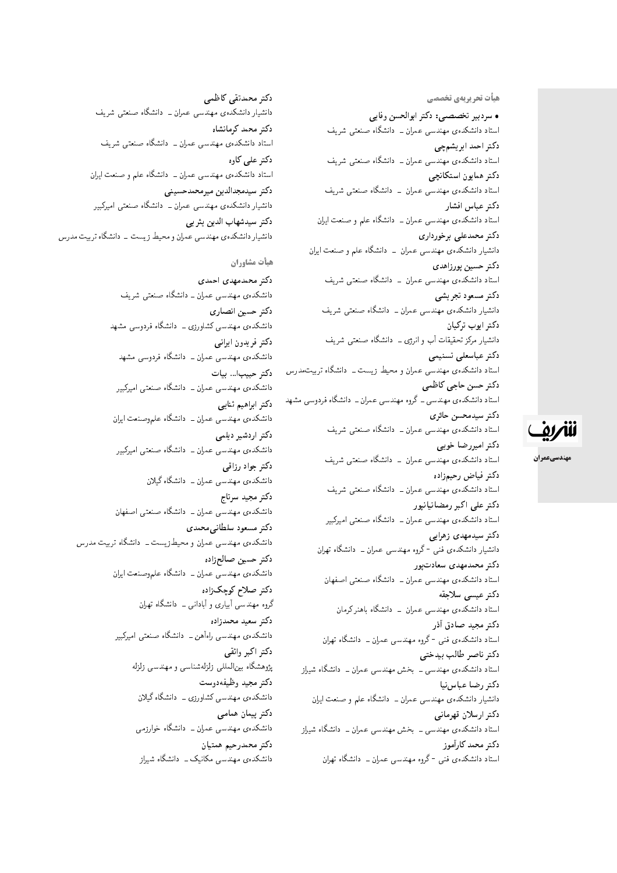هیأت تحریریهی تخ*صص*ی

• سردبیر تخصصی: دکتر ابوالحسن وفایی استاد دانشکدهی مهندسی عمران ــ دانشگاه صنعتبی شریف دكتر احمد ابريشمچي استاد دانشکدهی مهندسی عمران ــ دانشگاه صنعتی شریف دكتر همايون استكانچى استاد دانشکدهی مهندسی عمران – دانشگاه صنعتی شریف دكتر عباس افشار استاد دانشکدهی مهندسی عمران ــ دانشگاه علم و صنعت ایران دکتر محمدعلی برخورداری دانشیار دانشکدهی مهندسی عمران \_ دانشگاه علم و صنعت ایران دكتر حسين پورزاهدى استاد دانشکدهی مهندسی عمران – دانشگاه صنعتی شریف دكتر مسعود تجريشي دانشیار دانشکدهی مهندسی عمران ــ دانشگاه صنعتبی شریف دكتر ايوب تركيان دانشیار مرکز تحقیقات آب و انرژی ـــ دانشگاه صنعتی شریف دكتر عباسعلى تسنيمى استاد دانشکدهی مهندسی عمران و محیط زیست ـ دانشگاه تربیتمدرس دكتر حسن حاجي كاظمى استاد دانشکدهی مهندسی ــ گروه مهندسی عمران ــ دانشگاه فردوسی مشهد دكتر سيدمحسن حائري استاد دانشکدهی مهندسی عمران ــ دانشگاه صنعتی شریف دكتر اميررضا خوبي استاد دانشکدهی مهندسی عمران \_ دانشگاه صنعتی شریف دكتر فياض رحيمزاده استاد دانشکدهی مهندسی عمران ــ دانشگاه صنعتی شریف دکتر علی اکبر رمضانیانیور استاد دانشکدهی مهندسی عمران ـــ دانشگاه صنعتی امیرکبیر دکتر سیدمهدی زهرای<u>ی</u> دانشیار دانشکدهی فنبی <sup>– </sup>گروه مهندسی عمران ــ دانشگاه تهران دکتر محمدمهدی سعادت یور استاد دانشکدهی مهندسی عمران ــ دانشگاه صنعتی اصفهان دكتر عيسى سلاجقه استاد دانشکدهی مهندسی عمران – دانشگاه باهنر کرمان دکتر مجيد صادق أذر استاد دانشکدهى فنى -گروه مهندسى عمران ــ دانشگاه تهران دكتر ناصر طالب بيدختى استاد دانشکدهی مهندسی ــ بخش مهندسی عمران ــ دانشگاه شیراز دكتر رضا عباس نيا دانشیار دانشکدهی مهندسی عمران ــ دانشگاه علم و صنعت ایران دكتر ارسلان قهرماني استاد دانشکدهی مهندسی ـ بخش مهندسی عمران ـ دانشگاه شیراز دكتر محمد كارأموز

استاد دانشکدهی فنبی -گروه مهندسی عمران ــ دانشگاه تهران

دكتر محمدتقى كاظمى دانشیار دانشکدهی مهندسی عمران ــ دانشگاه صنعتی شریف دكتر محمد كرمانشاه استاد دانشکدهی مهندسی عمران ــ دانشگاه صنعتی شریف دکتر علی کاوہ استاد دانشکدهی مهندسی عمران ــ دانشگاه علم و صنعت ایران دكتر سيدمجدالدين ميرمحمدحسيني دانشیار دانشکدهی مهندسی عمران ــ دانشگاه صنعتبی امیرکبیر دكتر سيدشهاب الدين يثر بي دانشیار دانشکدهی مهندسی عمران و محیط زیست - دانشگاه تربیت مدرس

هيأت مشاوران

دكتر محمدمهدى احمدى دانشکدهی مهندسی عمران ــ دانشگاه صنعتبی شریف دكتر حسين انصارى دانشکده ی مهندسی کشاورزی ــ دانشگاه فردوسی مشهد دكتر فريدون ايراني دانشکدهی مهندسی عمران ــ دانشگاه فردوسی مشهد دكتر حبيب ... بيات دانشکدهی مهندسی عمران ــ دانشگاه صنعتی امیرکبیر دكتر ابراهيم ثنايي دانشکدهی مهندسی عمران ــ دانشگاه علموصنعت ایران دكتر اردشير ديلمى دانشکدهی مهندسی عمران ــ دانشگاه صنعتبی امیرکبیر دكتر جواد رزاقبي دانشکدهی مهندسی عمران ــ دانشگاه گیلان دكتر مجيد سرتاج دانشکدهی مهندسی عمران ــ دانشگاه صنعتی اصفهان دكتر مسعود سلطاني محمدي دانشکدهی مهندسی عمران و محیط زیست ــ دانشگاه تربیت مدرس دكتر حسين صالحزاده دانشکدهی مهندسی عمران ــ دانشگاه علموصنعت ایران د*کتر صلاح ک*وچک زاده گروه مهندسی آبیاری و آبادانی ــ دانشگاه تهران دكتر سعيد محمدزاده دانشکدهی مهندسی راهآهن ــ دانشگاه صنعتی امیرکبیر دكتر اكبر واثقى پژوهشگاه بین|لمللی زلزلهشناسی و مهندسی زلزله دكتر مجيد وظيفهدوست دانشکده ی مهندسی کشاورزی \_ دانشگاه گیلان دكتر پيمان همامي دانشکده،ی مهندسی عمران ــ دانشگاه خوارزمی دكتر محمدرجيم همتيان دانشکدهی مهندسی مکانیک ــ دانشگاه شیراز

# للمريف

مهندسيعمران